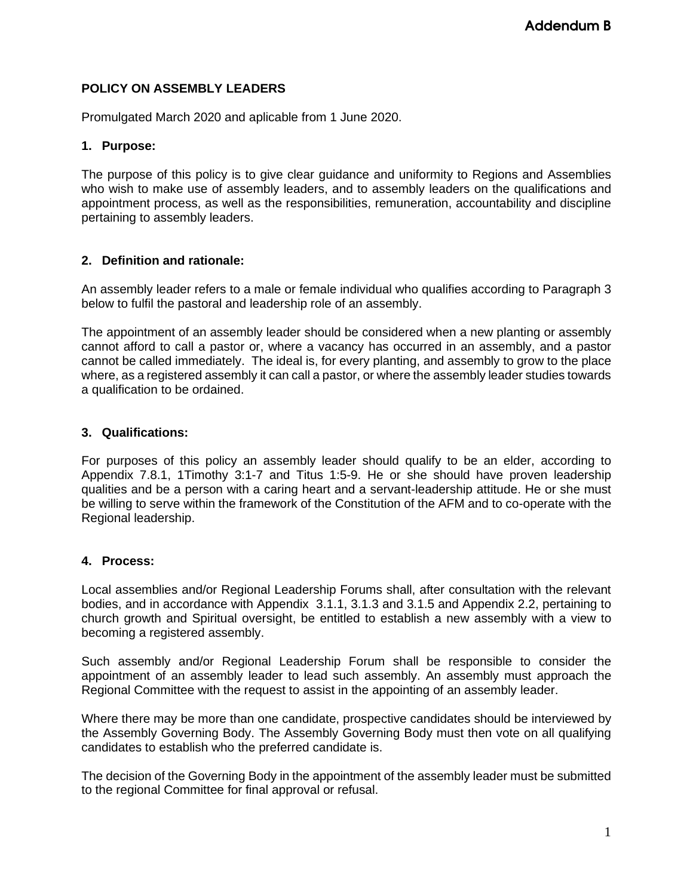# **POLICY ON ASSEMBLY LEADERS**

Promulgated March 2020 and aplicable from 1 June 2020.

## **1. Purpose:**

The purpose of this policy is to give clear guidance and uniformity to Regions and Assemblies who wish to make use of assembly leaders, and to assembly leaders on the qualifications and appointment process, as well as the responsibilities, remuneration, accountability and discipline pertaining to assembly leaders.

### **2. Definition and rationale:**

An assembly leader refers to a male or female individual who qualifies according to Paragraph 3 below to fulfil the pastoral and leadership role of an assembly.

The appointment of an assembly leader should be considered when a new planting or assembly cannot afford to call a pastor or, where a vacancy has occurred in an assembly, and a pastor cannot be called immediately. The ideal is, for every planting, and assembly to grow to the place where, as a registered assembly it can call a pastor, or where the assembly leader studies towards a qualification to be ordained.

### **3. Qualifications:**

For purposes of this policy an assembly leader should qualify to be an elder, according to Appendix 7.8.1, 1Timothy 3:1-7 and Titus 1:5-9. He or she should have proven leadership qualities and be a person with a caring heart and a servant-leadership attitude. He or she must be willing to serve within the framework of the Constitution of the AFM and to co-operate with the Regional leadership.

# **4. Process:**

Local assemblies and/or Regional Leadership Forums shall, after consultation with the relevant bodies, and in accordance with Appendix 3.1.1, 3.1.3 and 3.1.5 and Appendix 2.2, pertaining to church growth and Spiritual oversight, be entitled to establish a new assembly with a view to becoming a registered assembly.

Such assembly and/or Regional Leadership Forum shall be responsible to consider the appointment of an assembly leader to lead such assembly. An assembly must approach the Regional Committee with the request to assist in the appointing of an assembly leader.

Where there may be more than one candidate, prospective candidates should be interviewed by the Assembly Governing Body. The Assembly Governing Body must then vote on all qualifying candidates to establish who the preferred candidate is.

The decision of the Governing Body in the appointment of the assembly leader must be submitted to the regional Committee for final approval or refusal.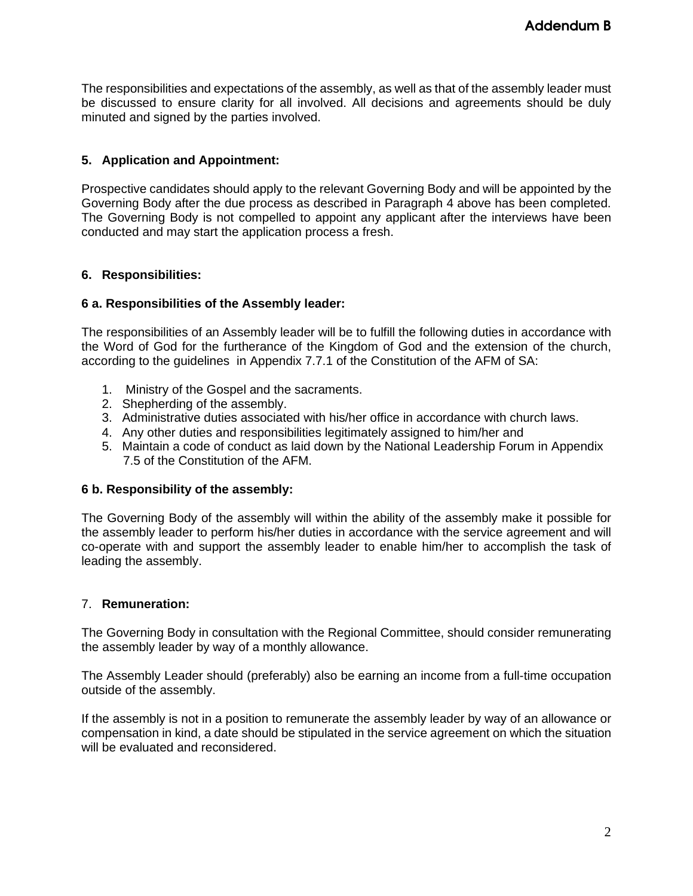The responsibilities and expectations of the assembly, as well as that of the assembly leader must be discussed to ensure clarity for all involved. All decisions and agreements should be duly minuted and signed by the parties involved.

# **5. Application and Appointment:**

Prospective candidates should apply to the relevant Governing Body and will be appointed by the Governing Body after the due process as described in Paragraph 4 above has been completed. The Governing Body is not compelled to appoint any applicant after the interviews have been conducted and may start the application process a fresh.

# **6. Responsibilities:**

### **6 a. Responsibilities of the Assembly leader:**

The responsibilities of an Assembly leader will be to fulfill the following duties in accordance with the Word of God for the furtherance of the Kingdom of God and the extension of the church, according to the guidelines in Appendix 7.7.1 of the Constitution of the AFM of SA:

- 1. Ministry of the Gospel and the sacraments.
- 2. Shepherding of the assembly.
- 3. Administrative duties associated with his/her office in accordance with church laws.
- 4. Any other duties and responsibilities legitimately assigned to him/her and
- 5. Maintain a code of conduct as laid down by the National Leadership Forum in Appendix 7.5 of the Constitution of the AFM.

#### **6 b. Responsibility of the assembly:**

The Governing Body of the assembly will within the ability of the assembly make it possible for the assembly leader to perform his/her duties in accordance with the service agreement and will co-operate with and support the assembly leader to enable him/her to accomplish the task of leading the assembly.

# 7. **Remuneration:**

The Governing Body in consultation with the Regional Committee, should consider remunerating the assembly leader by way of a monthly allowance.

The Assembly Leader should (preferably) also be earning an income from a full-time occupation outside of the assembly.

If the assembly is not in a position to remunerate the assembly leader by way of an allowance or compensation in kind, a date should be stipulated in the service agreement on which the situation will be evaluated and reconsidered.